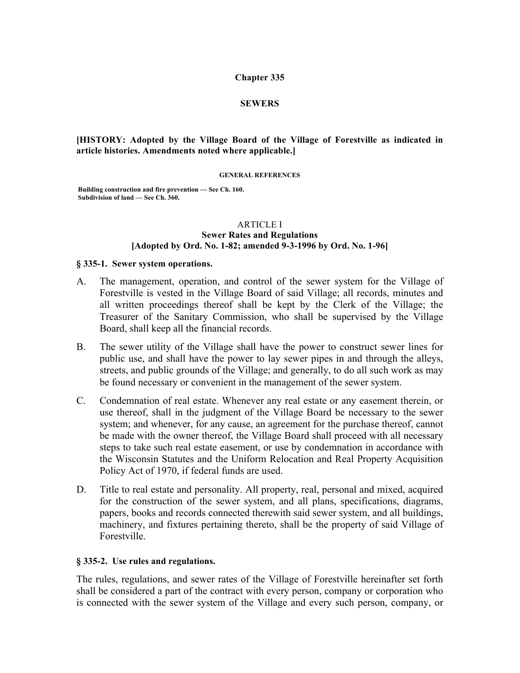#### **Chapter 335**

#### **SEWERS**

#### **[HISTORY: Adopted by the Village Board of the Village of Forestville as indicated in article histories. Amendments noted where applicable.]**

#### **GENERAL REFERENCES**

**Building construction and fire prevention — See Ch. 160. Subdivision of land — See Ch. 360.**

#### ARTICLE I

### **Sewer Rates and Regulations [Adopted by Ord. No. 1-82; amended 9-3-1996 by Ord. No. 1-96]**

#### **§ 335-1. Sewer system operations.**

- A. The management, operation, and control of the sewer system for the Village of Forestville is vested in the Village Board of said Village; all records, minutes and all written proceedings thereof shall be kept by the Clerk of the Village; the Treasurer of the Sanitary Commission, who shall be supervised by the Village Board, shall keep all the financial records.
- B. The sewer utility of the Village shall have the power to construct sewer lines for public use, and shall have the power to lay sewer pipes in and through the alleys, streets, and public grounds of the Village; and generally, to do all such work as may be found necessary or convenient in the management of the sewer system.
- C. Condemnation of real estate. Whenever any real estate or any easement therein, or use thereof, shall in the judgment of the Village Board be necessary to the sewer system; and whenever, for any cause, an agreement for the purchase thereof, cannot be made with the owner thereof, the Village Board shall proceed with all necessary steps to take such real estate easement, or use by condemnation in accordance with the Wisconsin Statutes and the Uniform Relocation and Real Property Acquisition Policy Act of 1970, if federal funds are used.
- D. Title to real estate and personality. All property, real, personal and mixed, acquired for the construction of the sewer system, and all plans, specifications, diagrams, papers, books and records connected therewith said sewer system, and all buildings, machinery, and fixtures pertaining thereto, shall be the property of said Village of Forestville.

#### **§ 335-2. Use rules and regulations.**

The rules, regulations, and sewer rates of the Village of Forestville hereinafter set forth shall be considered a part of the contract with every person, company or corporation who is connected with the sewer system of the Village and every such person, company, or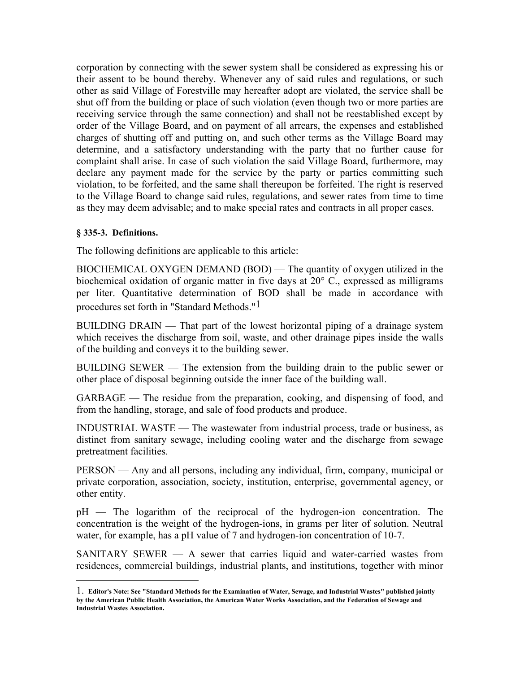corporation by connecting with the sewer system shall be considered as expressing his or their assent to be bound thereby. Whenever any of said rules and regulations, or such other as said Village of Forestville may hereafter adopt are violated, the service shall be shut off from the building or place of such violation (even though two or more parties are receiving service through the same connection) and shall not be reestablished except by order of the Village Board, and on payment of all arrears, the expenses and established charges of shutting off and putting on, and such other terms as the Village Board may determine, and a satisfactory understanding with the party that no further cause for complaint shall arise. In case of such violation the said Village Board, furthermore, may declare any payment made for the service by the party or parties committing such violation, to be forfeited, and the same shall thereupon be forfeited. The right is reserved to the Village Board to change said rules, regulations, and sewer rates from time to time as they may deem advisable; and to make special rates and contracts in all proper cases.

## **§ 335-3. Definitions.**

 $\overline{a}$ 

The following definitions are applicable to this article:

BIOCHEMICAL OXYGEN DEMAND (BOD) — The quantity of oxygen utilized in the biochemical oxidation of organic matter in five days at 20° C., expressed as milligrams per liter. Quantitative determination of BOD shall be made in accordance with procedures set forth in "Standard Methods."1

BUILDING DRAIN — That part of the lowest horizontal piping of a drainage system which receives the discharge from soil, waste, and other drainage pipes inside the walls of the building and conveys it to the building sewer.

BUILDING SEWER — The extension from the building drain to the public sewer or other place of disposal beginning outside the inner face of the building wall.

GARBAGE — The residue from the preparation, cooking, and dispensing of food, and from the handling, storage, and sale of food products and produce.

INDUSTRIAL WASTE — The wastewater from industrial process, trade or business, as distinct from sanitary sewage, including cooling water and the discharge from sewage pretreatment facilities.

PERSON — Any and all persons, including any individual, firm, company, municipal or private corporation, association, society, institution, enterprise, governmental agency, or other entity.

pH — The logarithm of the reciprocal of the hydrogen-ion concentration. The concentration is the weight of the hydrogen-ions, in grams per liter of solution. Neutral water, for example, has a pH value of 7 and hydrogen-ion concentration of 10-7.

SANITARY SEWER — A sewer that carries liquid and water-carried wastes from residences, commercial buildings, industrial plants, and institutions, together with minor

<sup>1.</sup> **Editor's Note: See "Standard Methods for the Examination of Water, Sewage, and Industrial Wastes" published jointly by the American Public Health Association, the American Water Works Association, and the Federation of Sewage and Industrial Wastes Association.**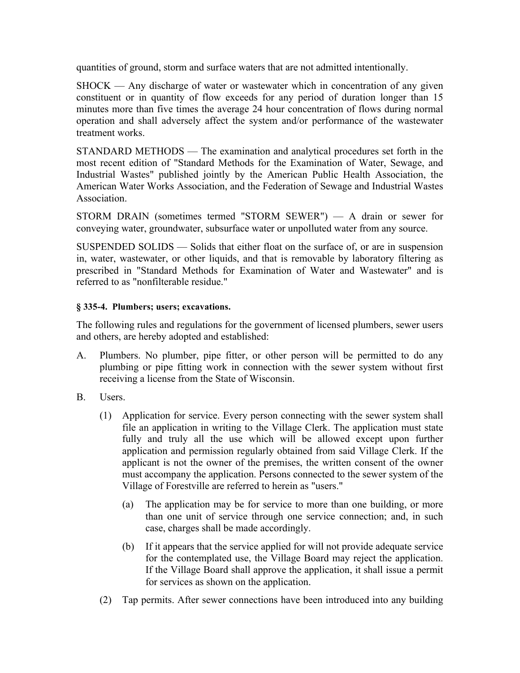quantities of ground, storm and surface waters that are not admitted intentionally.

SHOCK — Any discharge of water or wastewater which in concentration of any given constituent or in quantity of flow exceeds for any period of duration longer than 15 minutes more than five times the average 24 hour concentration of flows during normal operation and shall adversely affect the system and/or performance of the wastewater treatment works.

STANDARD METHODS — The examination and analytical procedures set forth in the most recent edition of "Standard Methods for the Examination of Water, Sewage, and Industrial Wastes" published jointly by the American Public Health Association, the American Water Works Association, and the Federation of Sewage and Industrial Wastes **Association** 

STORM DRAIN (sometimes termed "STORM SEWER") — A drain or sewer for conveying water, groundwater, subsurface water or unpolluted water from any source.

SUSPENDED SOLIDS — Solids that either float on the surface of, or are in suspension in, water, wastewater, or other liquids, and that is removable by laboratory filtering as prescribed in "Standard Methods for Examination of Water and Wastewater" and is referred to as "nonfilterable residue."

# **§ 335-4. Plumbers; users; excavations.**

The following rules and regulations for the government of licensed plumbers, sewer users and others, are hereby adopted and established:

- A. Plumbers. No plumber, pipe fitter, or other person will be permitted to do any plumbing or pipe fitting work in connection with the sewer system without first receiving a license from the State of Wisconsin.
- B. Users.
	- (1) Application for service. Every person connecting with the sewer system shall file an application in writing to the Village Clerk. The application must state fully and truly all the use which will be allowed except upon further application and permission regularly obtained from said Village Clerk. If the applicant is not the owner of the premises, the written consent of the owner must accompany the application. Persons connected to the sewer system of the Village of Forestville are referred to herein as "users."
		- (a) The application may be for service to more than one building, or more than one unit of service through one service connection; and, in such case, charges shall be made accordingly.
		- (b) If it appears that the service applied for will not provide adequate service for the contemplated use, the Village Board may reject the application. If the Village Board shall approve the application, it shall issue a permit for services as shown on the application.
	- (2) Tap permits. After sewer connections have been introduced into any building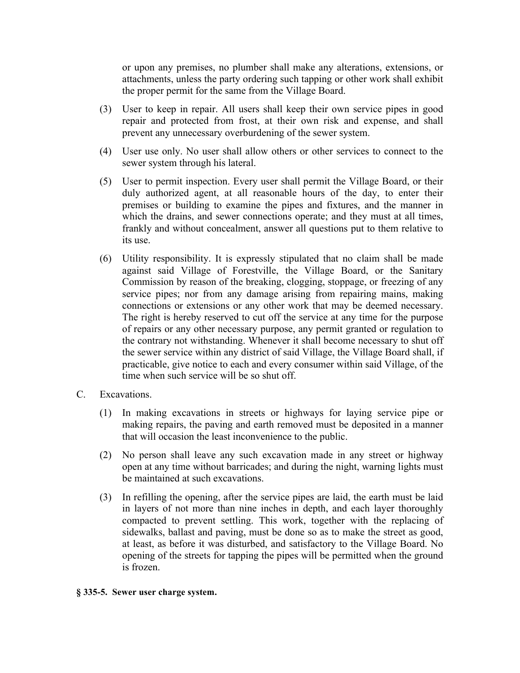or upon any premises, no plumber shall make any alterations, extensions, or attachments, unless the party ordering such tapping or other work shall exhibit the proper permit for the same from the Village Board.

- (3) User to keep in repair. All users shall keep their own service pipes in good repair and protected from frost, at their own risk and expense, and shall prevent any unnecessary overburdening of the sewer system.
- (4) User use only. No user shall allow others or other services to connect to the sewer system through his lateral.
- (5) User to permit inspection. Every user shall permit the Village Board, or their duly authorized agent, at all reasonable hours of the day, to enter their premises or building to examine the pipes and fixtures, and the manner in which the drains, and sewer connections operate; and they must at all times, frankly and without concealment, answer all questions put to them relative to its use.
- (6) Utility responsibility. It is expressly stipulated that no claim shall be made against said Village of Forestville, the Village Board, or the Sanitary Commission by reason of the breaking, clogging, stoppage, or freezing of any service pipes; nor from any damage arising from repairing mains, making connections or extensions or any other work that may be deemed necessary. The right is hereby reserved to cut off the service at any time for the purpose of repairs or any other necessary purpose, any permit granted or regulation to the contrary not withstanding. Whenever it shall become necessary to shut off the sewer service within any district of said Village, the Village Board shall, if practicable, give notice to each and every consumer within said Village, of the time when such service will be so shut off.
- C. Excavations.
	- (1) In making excavations in streets or highways for laying service pipe or making repairs, the paving and earth removed must be deposited in a manner that will occasion the least inconvenience to the public.
	- (2) No person shall leave any such excavation made in any street or highway open at any time without barricades; and during the night, warning lights must be maintained at such excavations.
	- (3) In refilling the opening, after the service pipes are laid, the earth must be laid in layers of not more than nine inches in depth, and each layer thoroughly compacted to prevent settling. This work, together with the replacing of sidewalks, ballast and paving, must be done so as to make the street as good, at least, as before it was disturbed, and satisfactory to the Village Board. No opening of the streets for tapping the pipes will be permitted when the ground is frozen.

#### **§ 335-5. Sewer user charge system.**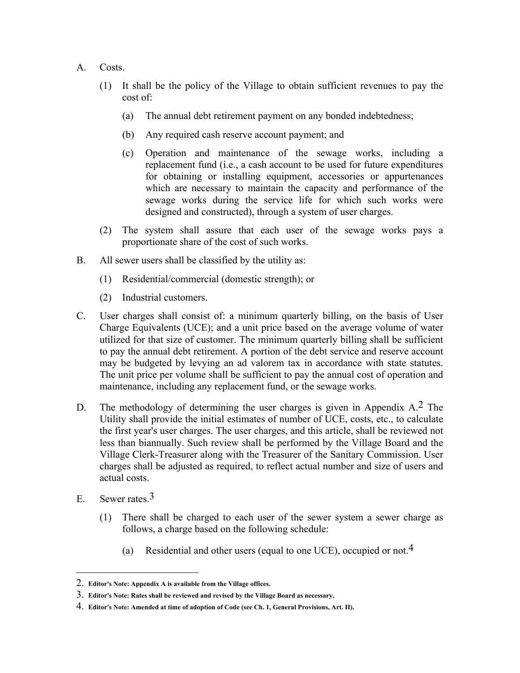- A. Costs.
	- (1) It shall be the policy of the Village to obtain sufficient revenues to pay the cost of:
		- (a) The annual debt retirement payment on any bonded indebtedness;
		- (b) Any required cash reserve account payment; and
		- (c) Operation and maintenance of the sewage works, including a replacement fund (i.e., a cash account to be used for future expenditures for obtaining or installing equipment, accessories or appurtenances which are necessary to maintain the capacity and performance of the sewage works during the service life for which such works were designed and constructed), through a system of user charges.
	- (2) The system shall assure that each user of the sewage works pays a proportionate share of the cost of such works.
- B. All sewer users shall be classified by the utility as:
	- (1) Residential/commercial (domestic strength); or
	- (2) Industrial customers.
- C. User charges shall consist of: a minimum quarterly billing, on the basis of User Charge Equivalents (UCE); and a unit price based on the average volume of water utilized for that size of customer. The minimum quarterly billing shall be sufficient to pay the annual debt retirement. A portion of the debt service and reserve account may be budgeted by levying an ad valorem tax in accordance with state statutes. The unit price per volume shall be sufficient to pay the annual cost of operation and maintenance, including any replacement fund, or the sewage works.
- D. The methodology of determining the user charges is given in Appendix  $A<sup>2</sup>$ . The Utility shall provide the initial estimates of number of UCE, costs, etc., to calculate the first year's user charges. The user charges, and this article, shall be reviewed not less than biannually. Such review shall be performed by the Village Board and the Village Clerk-Treasurer along with the Treasurer of the Sanitary Commission. User charges shall be adjusted as required, to reflect actual number and size of users and actual costs.
- E. Sewer rates  $3$

- (1) There shall be charged to each user of the sewer system a sewer charge as follows, a charge based on the following schedule:
	- (a) Residential and other users (equal to one UCE), occupied or not.<sup>4</sup>

<sup>2.</sup> **Editor's Note: Appendix A is available from the Village offices.** 

<sup>3.</sup> **Editor's Note: Rates shall be reviewed and revised by the Village Board as necessary.** 

<sup>4.</sup> **Editor's Note: Amended at time of adoption of Code (see Ch. 1, General Provisions, Art. II).**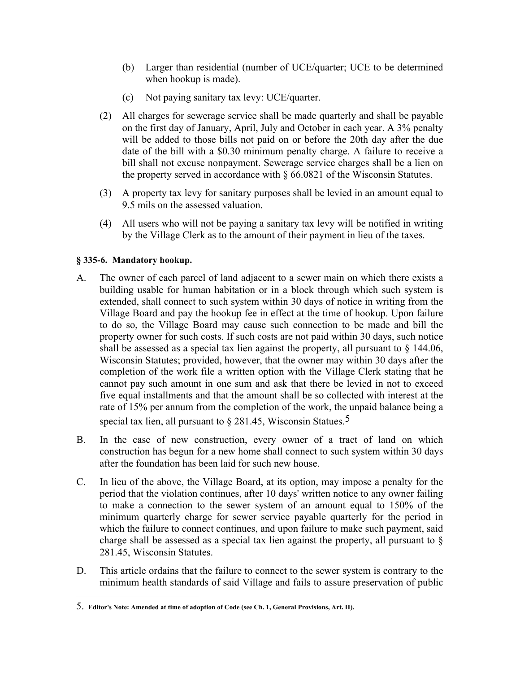- (b) Larger than residential (number of UCE/quarter; UCE to be determined when hookup is made).
- (c) Not paying sanitary tax levy: UCE/quarter.
- (2) All charges for sewerage service shall be made quarterly and shall be payable on the first day of January, April, July and October in each year. A 3% penalty will be added to those bills not paid on or before the 20th day after the due date of the bill with a \$0.30 minimum penalty charge. A failure to receive a bill shall not excuse nonpayment. Sewerage service charges shall be a lien on the property served in accordance with  $\S 66.0821$  of the Wisconsin Statutes.
- (3) A property tax levy for sanitary purposes shall be levied in an amount equal to 9.5 mils on the assessed valuation.
- (4) All users who will not be paying a sanitary tax levy will be notified in writing by the Village Clerk as to the amount of their payment in lieu of the taxes.

# **§ 335-6. Mandatory hookup.**

- A. The owner of each parcel of land adjacent to a sewer main on which there exists a building usable for human habitation or in a block through which such system is extended, shall connect to such system within 30 days of notice in writing from the Village Board and pay the hookup fee in effect at the time of hookup. Upon failure to do so, the Village Board may cause such connection to be made and bill the property owner for such costs. If such costs are not paid within 30 days, such notice shall be assessed as a special tax lien against the property, all pursuant to § 144.06, Wisconsin Statutes; provided, however, that the owner may within 30 days after the completion of the work file a written option with the Village Clerk stating that he cannot pay such amount in one sum and ask that there be levied in not to exceed five equal installments and that the amount shall be so collected with interest at the rate of 15% per annum from the completion of the work, the unpaid balance being a special tax lien, all pursuant to § 281.45, Wisconsin Statues.<sup>5</sup>
- B. In the case of new construction, every owner of a tract of land on which construction has begun for a new home shall connect to such system within 30 days after the foundation has been laid for such new house.
- C. In lieu of the above, the Village Board, at its option, may impose a penalty for the period that the violation continues, after 10 days' written notice to any owner failing to make a connection to the sewer system of an amount equal to 150% of the minimum quarterly charge for sewer service payable quarterly for the period in which the failure to connect continues, and upon failure to make such payment, said charge shall be assessed as a special tax lien against the property, all pursuant to § 281.45, Wisconsin Statutes.
- D. This article ordains that the failure to connect to the sewer system is contrary to the minimum health standards of said Village and fails to assure preservation of public

<sup>5.</sup> **Editor's Note: Amended at time of adoption of Code (see Ch. 1, General Provisions, Art. II).**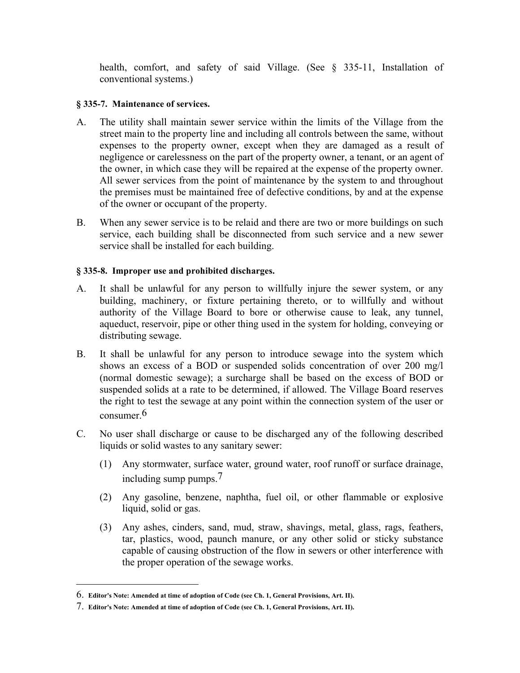health, comfort, and safety of said Village. (See § 335-11, Installation of conventional systems.)

## **§ 335-7. Maintenance of services.**

- A. The utility shall maintain sewer service within the limits of the Village from the street main to the property line and including all controls between the same, without expenses to the property owner, except when they are damaged as a result of negligence or carelessness on the part of the property owner, a tenant, or an agent of the owner, in which case they will be repaired at the expense of the property owner. All sewer services from the point of maintenance by the system to and throughout the premises must be maintained free of defective conditions, by and at the expense of the owner or occupant of the property.
- B. When any sewer service is to be relaid and there are two or more buildings on such service, each building shall be disconnected from such service and a new sewer service shall be installed for each building.

# **§ 335-8. Improper use and prohibited discharges.**

- A. It shall be unlawful for any person to willfully injure the sewer system, or any building, machinery, or fixture pertaining thereto, or to willfully and without authority of the Village Board to bore or otherwise cause to leak, any tunnel, aqueduct, reservoir, pipe or other thing used in the system for holding, conveying or distributing sewage.
- B. It shall be unlawful for any person to introduce sewage into the system which shows an excess of a BOD or suspended solids concentration of over 200 mg/l (normal domestic sewage); a surcharge shall be based on the excess of BOD or suspended solids at a rate to be determined, if allowed. The Village Board reserves the right to test the sewage at any point within the connection system of the user or consumer  $6$
- C. No user shall discharge or cause to be discharged any of the following described liquids or solid wastes to any sanitary sewer:
	- (1) Any stormwater, surface water, ground water, roof runoff or surface drainage, including sump pumps.7
	- (2) Any gasoline, benzene, naphtha, fuel oil, or other flammable or explosive liquid, solid or gas.
	- (3) Any ashes, cinders, sand, mud, straw, shavings, metal, glass, rags, feathers, tar, plastics, wood, paunch manure, or any other solid or sticky substance capable of causing obstruction of the flow in sewers or other interference with the proper operation of the sewage works.

<sup>6.</sup> **Editor's Note: Amended at time of adoption of Code (see Ch. 1, General Provisions, Art. II).** 

<sup>7.</sup> **Editor's Note: Amended at time of adoption of Code (see Ch. 1, General Provisions, Art. II).**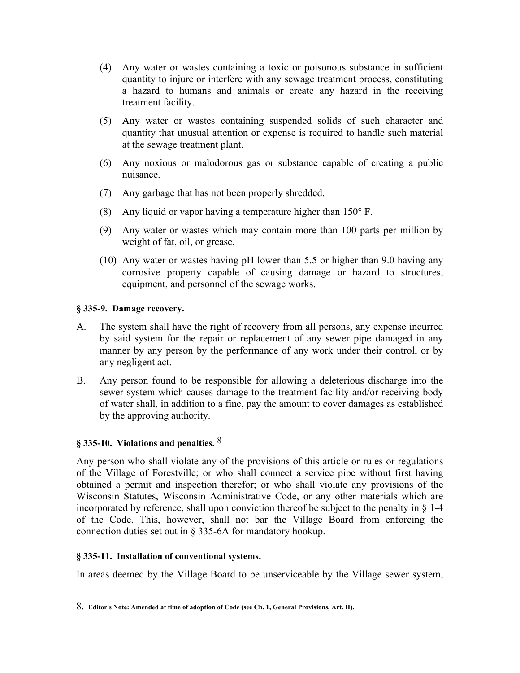- (4) Any water or wastes containing a toxic or poisonous substance in sufficient quantity to injure or interfere with any sewage treatment process, constituting a hazard to humans and animals or create any hazard in the receiving treatment facility.
- (5) Any water or wastes containing suspended solids of such character and quantity that unusual attention or expense is required to handle such material at the sewage treatment plant.
- (6) Any noxious or malodorous gas or substance capable of creating a public nuisance.
- (7) Any garbage that has not been properly shredded.
- (8) Any liquid or vapor having a temperature higher than 150° F.
- (9) Any water or wastes which may contain more than 100 parts per million by weight of fat, oil, or grease.
- (10) Any water or wastes having pH lower than 5.5 or higher than 9.0 having any corrosive property capable of causing damage or hazard to structures, equipment, and personnel of the sewage works.

# **§ 335-9. Damage recovery.**

- A. The system shall have the right of recovery from all persons, any expense incurred by said system for the repair or replacement of any sewer pipe damaged in any manner by any person by the performance of any work under their control, or by any negligent act.
- B. Any person found to be responsible for allowing a deleterious discharge into the sewer system which causes damage to the treatment facility and/or receiving body of water shall, in addition to a fine, pay the amount to cover damages as established by the approving authority.

# **§ 335-10. Violations and penalties.** 8

Any person who shall violate any of the provisions of this article or rules or regulations of the Village of Forestville; or who shall connect a service pipe without first having obtained a permit and inspection therefor; or who shall violate any provisions of the Wisconsin Statutes, Wisconsin Administrative Code, or any other materials which are incorporated by reference, shall upon conviction thereof be subject to the penalty in § 1-4 of the Code. This, however, shall not bar the Village Board from enforcing the connection duties set out in § 335-6A for mandatory hookup.

#### **§ 335-11. Installation of conventional systems.**

 $\overline{a}$ 

In areas deemed by the Village Board to be unserviceable by the Village sewer system,

<sup>8.</sup> **Editor's Note: Amended at time of adoption of Code (see Ch. 1, General Provisions, Art. II).**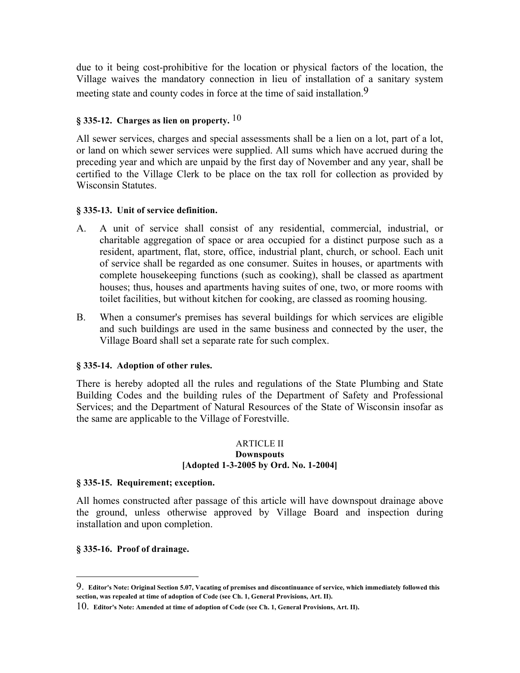due to it being cost-prohibitive for the location or physical factors of the location, the Village waives the mandatory connection in lieu of installation of a sanitary system meeting state and county codes in force at the time of said installation.<sup>9</sup>

# **§ 335-12. Charges as lien on property.** 10

All sewer services, charges and special assessments shall be a lien on a lot, part of a lot, or land on which sewer services were supplied. All sums which have accrued during the preceding year and which are unpaid by the first day of November and any year, shall be certified to the Village Clerk to be place on the tax roll for collection as provided by Wisconsin Statutes.

# **§ 335-13. Unit of service definition.**

- A. A unit of service shall consist of any residential, commercial, industrial, or charitable aggregation of space or area occupied for a distinct purpose such as a resident, apartment, flat, store, office, industrial plant, church, or school. Each unit of service shall be regarded as one consumer. Suites in houses, or apartments with complete housekeeping functions (such as cooking), shall be classed as apartment houses; thus, houses and apartments having suites of one, two, or more rooms with toilet facilities, but without kitchen for cooking, are classed as rooming housing.
- B. When a consumer's premises has several buildings for which services are eligible and such buildings are used in the same business and connected by the user, the Village Board shall set a separate rate for such complex.

# **§ 335-14. Adoption of other rules.**

There is hereby adopted all the rules and regulations of the State Plumbing and State Building Codes and the building rules of the Department of Safety and Professional Services; and the Department of Natural Resources of the State of Wisconsin insofar as the same are applicable to the Village of Forestville.

#### ARTICLE II **Downspouts [Adopted 1-3-2005 by Ord. No. 1-2004]**

# **§ 335-15. Requirement; exception.**

All homes constructed after passage of this article will have downspout drainage above the ground, unless otherwise approved by Village Board and inspection during installation and upon completion.

**§ 335-16. Proof of drainage.**

<sup>9.</sup> **Editor's Note: Original Section 5.07, Vacating of premises and discontinuance of service, which immediately followed this section, was repealed at time of adoption of Code (see Ch. 1, General Provisions, Art. II).** 

<sup>10.</sup> **Editor's Note: Amended at time of adoption of Code (see Ch. 1, General Provisions, Art. II).**